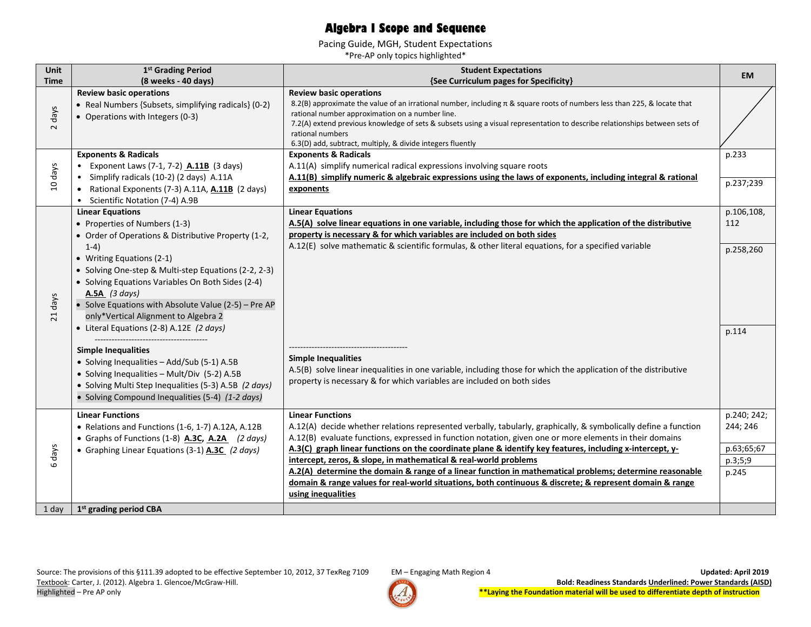Pacing Guide, MGH, Student Expectations

\*Pre-AP only topics highlighted\*

| <b>Unit</b> | 1st Grading Period                                                                                                                                                                                                                                                                                                                                                                                                                                                                                            | <b>Student Expectations</b>                                                                                                                                                                                                                                                                                                                                                                                                       | <b>EM</b>                               |
|-------------|---------------------------------------------------------------------------------------------------------------------------------------------------------------------------------------------------------------------------------------------------------------------------------------------------------------------------------------------------------------------------------------------------------------------------------------------------------------------------------------------------------------|-----------------------------------------------------------------------------------------------------------------------------------------------------------------------------------------------------------------------------------------------------------------------------------------------------------------------------------------------------------------------------------------------------------------------------------|-----------------------------------------|
| <b>Time</b> | (8 weeks - 40 days)                                                                                                                                                                                                                                                                                                                                                                                                                                                                                           | {See Curriculum pages for Specificity}                                                                                                                                                                                                                                                                                                                                                                                            |                                         |
| 2 days      | <b>Review basic operations</b><br>• Real Numbers {Subsets, simplifying radicals} (0-2)<br>• Operations with Integers (0-3)                                                                                                                                                                                                                                                                                                                                                                                    | <b>Review basic operations</b><br>8.2(B) approximate the value of an irrational number, including $\pi$ & square roots of numbers less than 225, & locate that<br>rational number approximation on a number line.<br>7.2(A) extend previous knowledge of sets & subsets using a visual representation to describe relationships between sets of<br>rational numbers<br>6.3(D) add, subtract, multiply, & divide integers fluently |                                         |
| 10 days     | <b>Exponents &amp; Radicals</b><br>Exponent Laws (7-1, 7-2) A.11B (3 days)<br>Simplify radicals (10-2) (2 days) A.11A<br>Rational Exponents (7-3) A.11A, <b>A.11B</b> (2 days)<br>• Scientific Notation (7-4) A.9B                                                                                                                                                                                                                                                                                            | <b>Exponents &amp; Radicals</b><br>A.11(A) simplify numerical radical expressions involving square roots<br>A.11(B) simplify numeric & algebraic expressions using the laws of exponents, including integral & rational<br>exponents                                                                                                                                                                                              | p.233<br>p.237;239                      |
| 21 days     | <b>Linear Equations</b><br>• Properties of Numbers (1-3)<br>• Order of Operations & Distributive Property (1-2,<br>$1-4)$<br>• Writing Equations (2-1)<br>• Solving One-step & Multi-step Equations (2-2, 2-3)<br>• Solving Equations Variables On Both Sides (2-4)<br>A.5A (3 days)<br>• Solve Equations with Absolute Value (2-5) – Pre AP<br>only*Vertical Alignment to Algebra 2<br>• Literal Equations (2-8) A.12E (2 days)<br><b>Simple Inequalities</b><br>• Solving Inequalities - Add/Sub (5-1) A.5B | <b>Linear Equations</b><br>A.5(A) solve linear equations in one variable, including those for which the application of the distributive<br>property is necessary & for which variables are included on both sides<br>A.12(E) solve mathematic & scientific formulas, & other literal equations, for a specified variable<br><b>Simple Inequalities</b>                                                                            | p.106,108,<br>112<br>p.258,260<br>p.114 |
|             | • Solving Inequalities - Mult/Div (5-2) A.5B<br>• Solving Multi Step Inequalities (5-3) A.5B (2 days)<br>• Solving Compound Inequalities (5-4) (1-2 days)                                                                                                                                                                                                                                                                                                                                                     | A.5(B) solve linear inequalities in one variable, including those for which the application of the distributive<br>property is necessary & for which variables are included on both sides                                                                                                                                                                                                                                         |                                         |
| days<br>6   | <b>Linear Functions</b><br>• Relations and Functions (1-6, 1-7) A.12A, A.12B<br>• Graphs of Functions (1-8) A.3C, A.2A (2 days)<br>• Graphing Linear Equations (3-1) A.3C (2 days)                                                                                                                                                                                                                                                                                                                            | <b>Linear Functions</b><br>A.12(A) decide whether relations represented verbally, tabularly, graphically, & symbolically define a function<br>A.12(B) evaluate functions, expressed in function notation, given one or more elements in their domains<br>A.3(C) graph linear functions on the coordinate plane & identify key features, including x-intercept, y-                                                                 | p.240; 242;<br>244; 246<br>p.63;65;67   |
|             |                                                                                                                                                                                                                                                                                                                                                                                                                                                                                                               | intercept, zeros, & slope, in mathematical & real-world problems<br>A.2(A) determine the domain & range of a linear function in mathematical problems; determine reasonable<br>domain & range values for real-world situations, both continuous & discrete; & represent domain & range<br>using inequalities                                                                                                                      | p.3;5;9<br>p.245                        |
| 1 day       | 1 <sup>st</sup> grading period CBA                                                                                                                                                                                                                                                                                                                                                                                                                                                                            |                                                                                                                                                                                                                                                                                                                                                                                                                                   |                                         |

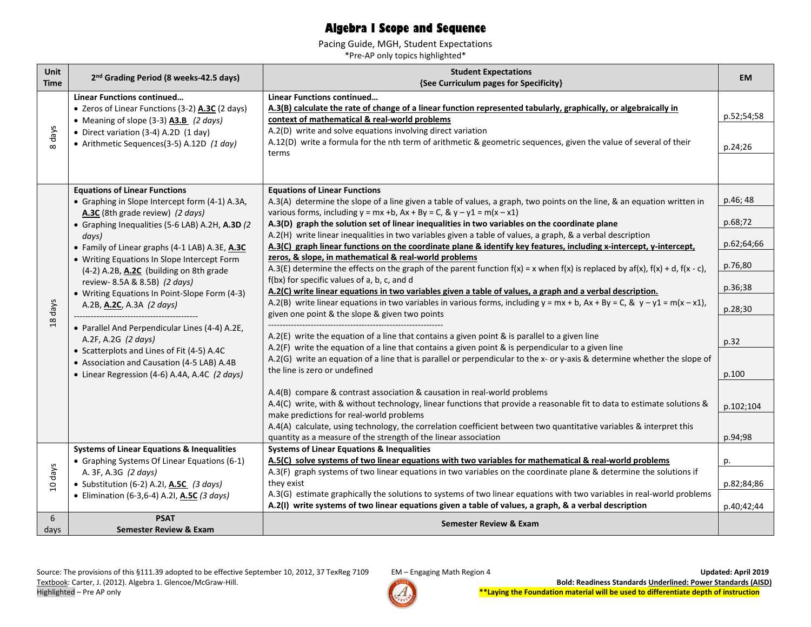Pacing Guide, MGH, Student Expectations

\*Pre-AP only topics highlighted\*

| <b>Unit</b><br><b>Time</b> | 2 <sup>nd</sup> Grading Period (8 weeks-42.5 days)                                                                                                                                                                                                                                                                                                                                                                                                                                                                                                                                                                                                                      | <b>Student Expectations</b><br>{See Curriculum pages for Specificity}                                                                                                                                                                                                                                                                                                                                                                                                                                                                                                                                                                                                                                                                                                                                                                                                                                                                                                                                                                                                                                                                                                                                                                                                                                                                                                                                                                                                                                                                                                                                                                                                                                                                                                                                                                                                                           | <b>EM</b>                                                                                        |
|----------------------------|-------------------------------------------------------------------------------------------------------------------------------------------------------------------------------------------------------------------------------------------------------------------------------------------------------------------------------------------------------------------------------------------------------------------------------------------------------------------------------------------------------------------------------------------------------------------------------------------------------------------------------------------------------------------------|-------------------------------------------------------------------------------------------------------------------------------------------------------------------------------------------------------------------------------------------------------------------------------------------------------------------------------------------------------------------------------------------------------------------------------------------------------------------------------------------------------------------------------------------------------------------------------------------------------------------------------------------------------------------------------------------------------------------------------------------------------------------------------------------------------------------------------------------------------------------------------------------------------------------------------------------------------------------------------------------------------------------------------------------------------------------------------------------------------------------------------------------------------------------------------------------------------------------------------------------------------------------------------------------------------------------------------------------------------------------------------------------------------------------------------------------------------------------------------------------------------------------------------------------------------------------------------------------------------------------------------------------------------------------------------------------------------------------------------------------------------------------------------------------------------------------------------------------------------------------------------------------------|--------------------------------------------------------------------------------------------------|
| 8 days                     | Linear Functions continued<br>• Zeros of Linear Functions (3-2) A.3C (2 days)<br>• Meaning of slope (3-3) A3.B (2 days)<br>• Direct variation (3-4) A.2D (1 day)<br>• Arithmetic Sequences(3-5) A.12D (1 day)                                                                                                                                                                                                                                                                                                                                                                                                                                                           | Linear Functions continued<br>A.3(B) calculate the rate of change of a linear function represented tabularly, graphically, or algebraically in<br>context of mathematical & real-world problems<br>A.2(D) write and solve equations involving direct variation<br>A.12(D) write a formula for the nth term of arithmetic & geometric sequences, given the value of several of their<br>terms                                                                                                                                                                                                                                                                                                                                                                                                                                                                                                                                                                                                                                                                                                                                                                                                                                                                                                                                                                                                                                                                                                                                                                                                                                                                                                                                                                                                                                                                                                    | p.52;54;58<br>p.24;26                                                                            |
| 18 days                    | <b>Equations of Linear Functions</b><br>• Graphing in Slope Intercept form (4-1) A.3A,<br>A.3C (8th grade review) (2 days)<br>• Graphing Inequalities (5-6 LAB) A.2H, A.3D (2<br>days)<br>• Family of Linear graphs (4-1 LAB) A.3E, A.3C<br>• Writing Equations In Slope Intercept Form<br>(4-2) A.2B, A.2C (building on 8th grade<br>review- 8.5A & 8.5B) (2 days)<br>• Writing Equations In Point-Slope Form (4-3)<br>A.2B, A.2C, A.3A (2 days)<br>• Parallel And Perpendicular Lines (4-4) A.2E,<br>A.2F, A.2G (2 days)<br>• Scatterplots and Lines of Fit (4-5) A.4C<br>• Association and Causation (4-5 LAB) A.4B<br>• Linear Regression (4-6) A.4A, A.4C (2 days) | <b>Equations of Linear Functions</b><br>A.3(A) determine the slope of a line given a table of values, a graph, two points on the line, & an equation written in<br>various forms, including $y = mx + b$ , $Ax + By = C$ , $\& y - y1 = m(x - x1)$<br>A.3(D) graph the solution set of linear inequalities in two variables on the coordinate plane<br>A.2(H) write linear inequalities in two variables given a table of values, a graph, & a verbal description<br>A.3(C) graph linear functions on the coordinate plane & identify key features, including x-intercept, y-intercept,<br>zeros, & slope, in mathematical & real-world problems<br>A.3(E) determine the effects on the graph of the parent function $f(x) = x$ when $f(x)$ is replaced by af(x), $f(x) + d$ , $f(x - c)$ ,<br>f(bx) for specific values of a, b, c, and d<br>A.2(C) write linear equations in two variables given a table of values, a graph and a verbal description.<br>A.2(B) write linear equations in two variables in various forms, including $y = mx + b$ , $Ax + By = C$ , $\& y - y1 = m(x - x1)$ ,<br>given one point & the slope & given two points<br>A.2(E) write the equation of a line that contains a given point & is parallel to a given line<br>A.2(F) write the equation of a line that contains a given point & is perpendicular to a given line<br>A.2(G) write an equation of a line that is parallel or perpendicular to the x- or y-axis & determine whether the slope of<br>the line is zero or undefined<br>A.4(B) compare & contrast association & causation in real-world problems<br>A.4(C) write, with & without technology, linear functions that provide a reasonable fit to data to estimate solutions &<br>make predictions for real-world problems<br>A.4(A) calculate, using technology, the correlation coefficient between two quantitative variables & interpret this | p.46; 48<br>p.68;72<br>p.62;64;66<br>p.76,80<br>p.36;38<br>p.28;30<br>p.32<br>p.100<br>p.102;104 |
| 10 days                    | <b>Systems of Linear Equations &amp; Inequalities</b><br>• Graphing Systems Of Linear Equations (6-1)<br>A. 3F, A.3G (2 days)<br>• Substitution (6-2) A.2I, $A.5C$ (3 days)<br>• Elimination (6-3,6-4) A.2I, A.5C (3 days)                                                                                                                                                                                                                                                                                                                                                                                                                                              | quantity as a measure of the strength of the linear association<br><b>Systems of Linear Equations &amp; Inequalities</b><br>A.5(C) solve systems of two linear equations with two variables for mathematical & real-world problems<br>A.3(F) graph systems of two linear equations in two variables on the coordinate plane & determine the solutions if<br>they exist<br>A.3(G) estimate graphically the solutions to systems of two linear equations with two variables in real-world problems<br>A.2(I) write systems of two linear equations given a table of values, a graph, & a verbal description                                                                                                                                                                                                                                                                                                                                                                                                                                                                                                                                                                                                                                                                                                                                                                                                                                                                                                                                                                                                                                                                                                                                                                                                                                                                                       | p.94;98<br>p.<br>p.82;84;86<br>p.40;42;44                                                        |
| 6<br>days                  | <b>PSAT</b><br><b>Semester Review &amp; Exam</b>                                                                                                                                                                                                                                                                                                                                                                                                                                                                                                                                                                                                                        | <b>Semester Review &amp; Exam</b>                                                                                                                                                                                                                                                                                                                                                                                                                                                                                                                                                                                                                                                                                                                                                                                                                                                                                                                                                                                                                                                                                                                                                                                                                                                                                                                                                                                                                                                                                                                                                                                                                                                                                                                                                                                                                                                               |                                                                                                  |

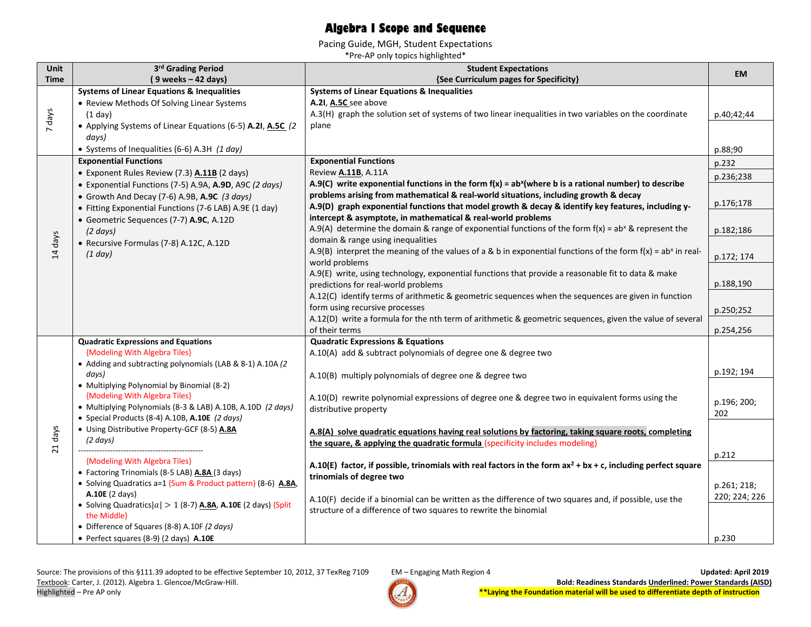Pacing Guide, MGH, Student Expectations

\*Pre-AP only topics highlighted\*

| Unit        | 3rd Grading Period                                                                                                                                                                                                                                                                                                                                                                                                                                                                                                                                                                                                                                                                                                                                                               | <b>Student Expectations</b>                                                                                                                                                                                                                                                                                                                                                                                                                                                                                                                                                                                                                                                                                                                                                                                                                                                                                                                                                                                                                                                                                                          | <b>EM</b>                                                                                         |
|-------------|----------------------------------------------------------------------------------------------------------------------------------------------------------------------------------------------------------------------------------------------------------------------------------------------------------------------------------------------------------------------------------------------------------------------------------------------------------------------------------------------------------------------------------------------------------------------------------------------------------------------------------------------------------------------------------------------------------------------------------------------------------------------------------|--------------------------------------------------------------------------------------------------------------------------------------------------------------------------------------------------------------------------------------------------------------------------------------------------------------------------------------------------------------------------------------------------------------------------------------------------------------------------------------------------------------------------------------------------------------------------------------------------------------------------------------------------------------------------------------------------------------------------------------------------------------------------------------------------------------------------------------------------------------------------------------------------------------------------------------------------------------------------------------------------------------------------------------------------------------------------------------------------------------------------------------|---------------------------------------------------------------------------------------------------|
| <b>Time</b> | $(9$ weeks - 42 days)                                                                                                                                                                                                                                                                                                                                                                                                                                                                                                                                                                                                                                                                                                                                                            | {See Curriculum pages for Specificity}                                                                                                                                                                                                                                                                                                                                                                                                                                                                                                                                                                                                                                                                                                                                                                                                                                                                                                                                                                                                                                                                                               |                                                                                                   |
| 7 days      | <b>Systems of Linear Equations &amp; Inequalities</b><br>• Review Methods Of Solving Linear Systems<br>$(1$ day)<br>• Applying Systems of Linear Equations (6-5) A.2I, A.5C (2<br>days)<br>• Systems of Inequalities (6-6) A.3H (1 day)                                                                                                                                                                                                                                                                                                                                                                                                                                                                                                                                          | <b>Systems of Linear Equations &amp; Inequalities</b><br>A.2I, A.5C see above<br>A.3(H) graph the solution set of systems of two linear inequalities in two variables on the coordinate<br>plane                                                                                                                                                                                                                                                                                                                                                                                                                                                                                                                                                                                                                                                                                                                                                                                                                                                                                                                                     | p.40;42;44<br>p.88;90                                                                             |
| 14 days     | <b>Exponential Functions</b><br>• Exponent Rules Review (7.3) A.11B (2 days)<br>• Exponential Functions (7-5) A.9A, A.9D, A9C (2 days)<br>• Growth And Decay (7-6) A.9B, A.9C (3 days)<br>• Fitting Exponential Functions (7-6 LAB) A.9E (1 day)<br>• Geometric Sequences (7-7) A.9C, A.12D<br>$(2 \text{ days})$<br>• Recursive Formulas (7-8) A.12C, A.12D<br>(1 day)                                                                                                                                                                                                                                                                                                                                                                                                          | <b>Exponential Functions</b><br>Review A.11B, A.11A<br>A.9(C) write exponential functions in the form $f(x) = ab^x$ (where b is a rational number) to describe<br>problems arising from mathematical & real-world situations, including growth & decay<br>A.9(D) graph exponential functions that model growth & decay & identify key features, including y-<br>intercept & asymptote, in mathematical & real-world problems<br>A.9(A) determine the domain & range of exponential functions of the form $f(x) = ab^x$ & represent the<br>domain & range using inequalities<br>A.9(B) interpret the meaning of the values of a & b in exponential functions of the form $f(x) = ab^x$ in real-<br>world problems<br>A.9(E) write, using technology, exponential functions that provide a reasonable fit to data & make<br>predictions for real-world problems<br>A.12(C) identify terms of arithmetic & geometric sequences when the sequences are given in function<br>form using recursive processes<br>A.12(D) write a formula for the nth term of arithmetic & geometric sequences, given the value of several<br>of their terms | p.232<br>p.236;238<br>p.176;178<br>p.182;186<br>p.172; 174<br>p.188,190<br>p.250;252<br>p.254,256 |
| 21 days     | <b>Quadratic Expressions and Equations</b><br>{Modeling With Algebra Tiles}<br>• Adding and subtracting polynomials (LAB & 8-1) A.10A (2<br>days)<br>• Multiplying Polynomial by Binomial (8-2)<br>{Modeling With Algebra Tiles}<br>• Multiplying Polynomials (8-3 & LAB) A.10B, A.10D (2 days)<br>• Special Products (8-4) A.10B, A.10E (2 days)<br>• Using Distributive Property-GCF (8-5) A.8A<br>$(2 \text{ days})$<br>{Modeling With Algebra Tiles}<br>• Factoring Trinomials (8-5 LAB) A.8A (3 days)<br>• Solving Quadratics a=1 {Sum & Product pattern} (8-6) A.8A,<br><b>A.10E</b> (2 days)<br>• Solving Quadratics $ a  > 1$ (8-7) A.8A, A.10E (2 days) {Split<br>the Middle}<br>• Difference of Squares (8-8) A.10F (2 days)<br>• Perfect squares (8-9) (2 days) A.10E | <b>Quadratic Expressions &amp; Equations</b><br>A.10(A) add & subtract polynomials of degree one & degree two<br>A.10(B) multiply polynomials of degree one & degree two<br>A.10(D) rewrite polynomial expressions of degree one & degree two in equivalent forms using the<br>distributive property<br>A.8(A) solve quadratic equations having real solutions by factoring, taking square roots, completing<br>the square, & applying the quadratic formula {specificity includes modeling}<br>A.10(E) factor, if possible, trinomials with real factors in the form $ax^2 + bx + c$ , including perfect square<br>trinomials of degree two<br>A.10(F) decide if a binomial can be written as the difference of two squares and, if possible, use the<br>structure of a difference of two squares to rewrite the binomial                                                                                                                                                                                                                                                                                                           | p.192; 194<br>p.196; 200;<br>202<br>p.212<br>p.261; 218;<br>220; 224; 226<br>p.230                |